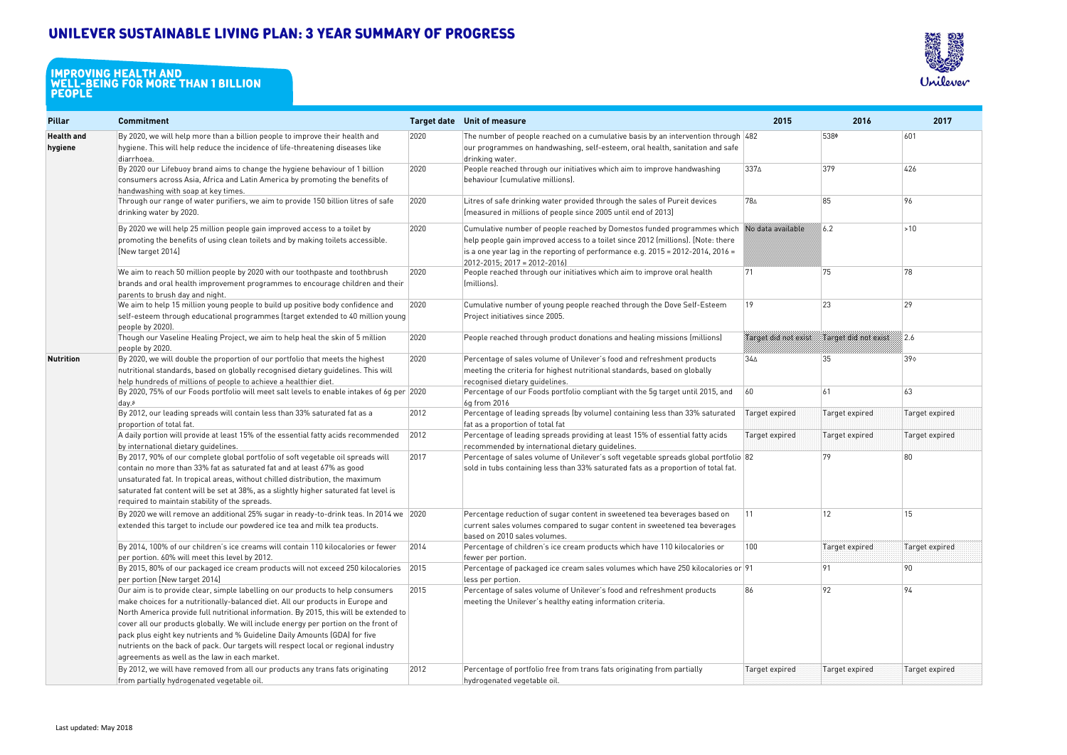# **Unilever Sustainable Living Plan: 3 year summary of progress**

| <b>Pillar</b>                | <b>Commitment</b>                                                                                                                                                                                                                                                                                                                                                                                                                                                                                                                                                      |      | Target date Unit of measure                                                                                                                                                                                                                                                                                  | 2015                 | 2016                        | 2017          |
|------------------------------|------------------------------------------------------------------------------------------------------------------------------------------------------------------------------------------------------------------------------------------------------------------------------------------------------------------------------------------------------------------------------------------------------------------------------------------------------------------------------------------------------------------------------------------------------------------------|------|--------------------------------------------------------------------------------------------------------------------------------------------------------------------------------------------------------------------------------------------------------------------------------------------------------------|----------------------|-----------------------------|---------------|
| <b>Health and</b><br>hygiene | By 2020, we will help more than a billion people to improve their health and<br>hygiene. This will help reduce the incidence of life-threatening diseases like<br>diarrhoea.                                                                                                                                                                                                                                                                                                                                                                                           | 2020 | The number of people reached on a cumulative basis by an intervention through $ 482\rangle$<br>$\mid$ our programmes on handwashing, self-esteem, oral health, sanitation and safe<br>drinking water.                                                                                                        |                      | 538¢                        | 601           |
|                              | By 2020 our Lifebuoy brand aims to change the hygiene behaviour of 1 billion<br>consumers across Asia, Africa and Latin America by promoting the benefits of<br>handwashing with soap at key times.                                                                                                                                                                                                                                                                                                                                                                    | 2020 | People reached through our initiatives which aim to improve handwashing<br>behaviour (cumulative millions).                                                                                                                                                                                                  | 3374                 | 379                         | 426           |
|                              | Through our range of water purifiers, we aim to provide 150 billion litres of safe<br>drinking water by 2020.                                                                                                                                                                                                                                                                                                                                                                                                                                                          | 2020 | Litres of safe drinking water provided through the sales of Pureit devices<br>[measured in millions of people since 2005 until end of 2013]                                                                                                                                                                  | 784                  | 85                          | 96            |
|                              | By 2020 we will help 25 million people gain improved access to a toilet by<br>promoting the benefits of using clean toilets and by making toilets accessible.<br>[New target 2014]                                                                                                                                                                                                                                                                                                                                                                                     | 2020 | Cumulative number of people reached by Domestos funded programmes which No data available<br>help people gain improved access to a toilet since 2012 (millions). [Note: there<br>is a one year lag in the reporting of performance e.g. $2015 = 2012 - 2014$ , $2016 =$<br>$2012 - 2015$ ; 2017 = 2012-2016) |                      | 6.2                         | $\vert$ > 10  |
|                              | We aim to reach 50 million people by 2020 with our toothpaste and toothbrush<br>brands and oral health improvement programmes to encourage children and their<br>parents to brush day and night.                                                                                                                                                                                                                                                                                                                                                                       | 2020 | People reached through our initiatives which aim to improve oral health<br>(millions).                                                                                                                                                                                                                       | 71                   | 75                          | 78            |
|                              | We aim to help 15 million young people to build up positive body confidence and<br>self-esteem through educational programmes (target extended to 40 million young<br>people by 2020).                                                                                                                                                                                                                                                                                                                                                                                 | 2020 | Cumulative number of young people reached through the Dove Self-Esteem<br>Project initiatives since 2005.                                                                                                                                                                                                    | 19                   | 23                          | 29            |
|                              | Though our Vaseline Healing Project, we aim to help heal the skin of 5 million<br>people by 2020.                                                                                                                                                                                                                                                                                                                                                                                                                                                                      | 2020 | People reached through product donations and healing missions (millions)                                                                                                                                                                                                                                     | Target did not exist | <b>Target and not exist</b> | 2.6           |
| Nutrition                    | By 2020, we will double the proportion of our portfolio that meets the highest<br>nutritional standards, based on globally recognised dietary guidelines. This will<br>help hundreds of millions of people to achieve a healthier diet.                                                                                                                                                                                                                                                                                                                                | 2020 | Percentage of sales volume of Unilever's food and refreshment products<br>meeting the criteria for highest nutritional standards, based on globally<br>recognised dietary guidelines.                                                                                                                        | $34\Delta$           | 35                          | 390           |
|                              | By 2020, 75% of our Foods portfolio will meet salt levels to enable intakes of 6g per 2020<br>day.8                                                                                                                                                                                                                                                                                                                                                                                                                                                                    |      | Percentage of our Foods portfolio compliant with the 5g target until 2015, and<br>6g from 2016                                                                                                                                                                                                               | 60                   | 61                          | 63            |
|                              | By 2012, our leading spreads will contain less than 33% saturated fat as a<br>proportion of total fat.                                                                                                                                                                                                                                                                                                                                                                                                                                                                 | 2012 | Percentage of leading spreads (by volume) containing less than 33% saturated<br>fat as a proportion of total fat                                                                                                                                                                                             | Target expired       | Target expired              | Target expire |
|                              | $\vert$ A daily portion will provide at least 15% of the essential fatty acids recommended<br>by international dietary guidelines.                                                                                                                                                                                                                                                                                                                                                                                                                                     | 2012 | Percentage of leading spreads providing at least 15% of essential fatty acids<br>recommended by international dietary guidelines.                                                                                                                                                                            | Target expired       | Target expired              | Target expire |
|                              | By 2017, 90% of our complete global portfolio of soft vegetable oil spreads will<br>contain no more than 33% fat as saturated fat and at least 67% as good<br>unsaturated fat. In tropical areas, without chilled distribution, the maximum<br>saturated fat content will be set at 38%, as a slightly higher saturated fat level is<br>required to maintain stability of the spreads.                                                                                                                                                                                 | 2017 | Percentage of sales volume of Unilever's soft vegetable spreads global portfolio 82<br>sold in tubs containing less than 33% saturated fats as a proportion of total fat.                                                                                                                                    |                      | 79                          | 80            |
|                              | By 2020 we will remove an additional 25% sugar in ready-to-drink teas. In 2014 we 2020<br>extended this target to include our powdered ice tea and milk tea products.                                                                                                                                                                                                                                                                                                                                                                                                  |      | Percentage reduction of sugar content in sweetened tea beverages based on<br>current sales volumes compared to sugar content in sweetened tea beverages<br>based on 2010 sales volumes.                                                                                                                      | 11                   | 12                          | 15            |
|                              | By 2014, 100% of our children's ice creams will contain 110 kilocalories or fewer<br>$\vert$ per portion. 60% will meet this level by 2012.                                                                                                                                                                                                                                                                                                                                                                                                                            | 2014 | Percentage of children's ice cream products which have 110 kilocalories or<br>fewer per portion.                                                                                                                                                                                                             | 100                  | <b>Target expired</b>       | Target expire |
|                              | $\vert$ By 2015, 80% of our packaged ice cream products will not exceed 250 kilocalories $\vert$ 2015<br>per portion [New target 2014]                                                                                                                                                                                                                                                                                                                                                                                                                                 |      | Percentage of packaged ice cream sales volumes which have 250 kilocalories or 91<br>less per portion.                                                                                                                                                                                                        |                      | 91                          | 90            |
|                              | Our aim is to provide clear, simple labelling on our products to help consumers<br>make choices for a nutritionally-balanced diet. All our products in Europe and<br>North America provide full nutritional information. By 2015, this will be extended to<br>cover all our products globally. We will include energy per portion on the front of<br>pack plus eight key nutrients and % Guideline Daily Amounts (GDA) for five<br>nutrients on the back of pack. Our targets will respect local or regional industry<br>agreements as well as the law in each market. | 2015 | Percentage of sales volume of Unilever's food and refreshment products<br>meeting the Unilever's healthy eating information criteria.                                                                                                                                                                        | 86                   | 92                          | 94            |
|                              | By 2012, we will have removed from all our products any trans fats originating<br>from partially hydrogenated vegetable oil.                                                                                                                                                                                                                                                                                                                                                                                                                                           | 2012 | Percentage of portfolio free from trans fats originating from partially<br>hydrogenated vegetable oil.                                                                                                                                                                                                       | Target expired       | Target expired              | Target expire |

| 2015                   | 2016                 | 2017           |
|------------------------|----------------------|----------------|
| 482                    | 538¢                 | 601            |
| 337∆                   | 379                  | 426            |
| 78∆                    | 85                   | 96             |
| .<br>No data available | 6.2                  | $>10$          |
| 71                     | 75                   | 78             |
| 19                     | 23                   | 29             |
| Target did not exist   | Target did not exist | 2.6            |
| $34\Delta$             | 35                   | 390            |
| 60                     | 61                   | 63             |
| Target expired         | Target expired       | Target expired |
| Target expired         | Target expired       | Target expired |
| 82                     | 79                   | 80             |
| 11                     | 12                   | 15             |
| 100                    | Target expired       | Target expired |
| 91                     | 91                   | 90             |
| 86                     | 92                   | 94             |
| Target expired         | Target expired       | Target expired |

#### **IMPROVING HEALTH AND WELL-BEING FOR MORE THAN 1 BILLION people**

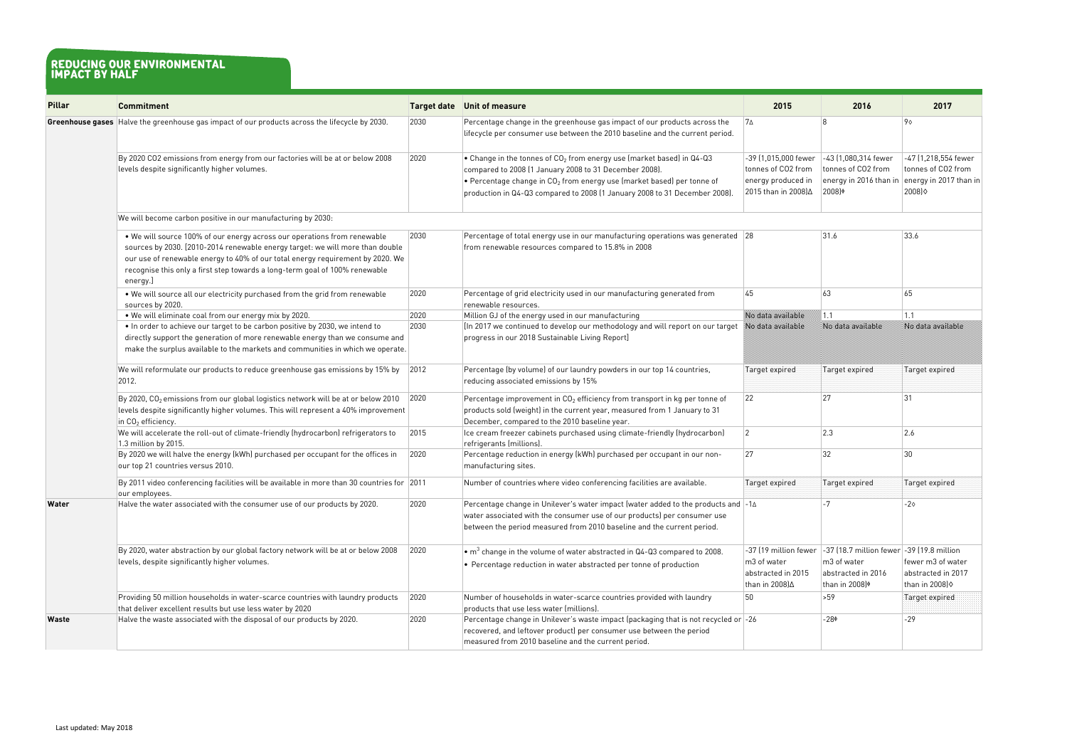| <b>Pillar</b> | <b>Commitment</b>                                                                                                                                                                                                                                                                                                                      |      | Target date Unit of measure                                                                                                                                                                                                                                                                 | 2015                                                                                     | 2016                                                                                                                                   | 2017                                                                          |
|---------------|----------------------------------------------------------------------------------------------------------------------------------------------------------------------------------------------------------------------------------------------------------------------------------------------------------------------------------------|------|---------------------------------------------------------------------------------------------------------------------------------------------------------------------------------------------------------------------------------------------------------------------------------------------|------------------------------------------------------------------------------------------|----------------------------------------------------------------------------------------------------------------------------------------|-------------------------------------------------------------------------------|
|               | Greenhouse gases Halve the greenhouse gas impact of our products across the lifecycle by 2030.                                                                                                                                                                                                                                         | 2030 | Percentage change in the greenhouse gas impact of our products across the<br>lifecycle per consumer use between the 2010 baseline and the current period.                                                                                                                                   | $7\Delta$                                                                                | R                                                                                                                                      | 9 <sub>0</sub>                                                                |
|               | By 2020 CO2 emissions from energy from our factories will be at or below 2008<br>levels despite significantly higher volumes.                                                                                                                                                                                                          | 2020 | • Change in the tonnes of $CO2$ from energy use (market based) in Q4-Q3<br>compared to 2008 (1 January 2008 to 31 December 2008).<br>• Percentage change in $CO2$ from energy use (market based) per tonne of<br>production in Q4-Q3 compared to 2008 (1 January 2008 to 31 December 2008). | -39 (1,015,000 fewer<br>tonnes of CO2 from<br>energy produced in<br>2015 than in 2008)∆  | -43 (1,080,314 fewer<br>tonnes of CO2 from<br>energy in 2016 than in<br>2008)                                                          | -47 (1,218,554 fewer<br>tonnes of CO2 from<br>energy in 2017 than in<br>2008) |
|               | We will become carbon positive in our manufacturing by 2030:                                                                                                                                                                                                                                                                           |      |                                                                                                                                                                                                                                                                                             |                                                                                          |                                                                                                                                        |                                                                               |
|               | . We will source 100% of our energy across our operations from renewable<br>sources by 2030. [2010-2014 renewable energy target: we will more than double<br>our use of renewable energy to 40% of our total energy requirement by 2020. We<br>recognise this only a first step towards a long-term goal of 100% renewable<br>energy.] | 2030 | Percentage of total energy use in our manufacturing operations was generated $ 28 $<br>from renewable resources compared to 15.8% in 2008                                                                                                                                                   |                                                                                          | 31.6                                                                                                                                   | 33.6                                                                          |
|               | . We will source all our electricity purchased from the grid from renewable<br>sources by 2020.                                                                                                                                                                                                                                        | 2020 | Percentage of grid electricity used in our manufacturing generated from<br>renewable resources.                                                                                                                                                                                             | 45                                                                                       | 63                                                                                                                                     | 65                                                                            |
|               | . We will eliminate coal from our energy mix by 2020.                                                                                                                                                                                                                                                                                  | 2020 | Million GJ of the energy used in our manufacturing                                                                                                                                                                                                                                          | No data avaitable                                                                        | 1.1                                                                                                                                    | 1.1                                                                           |
|               | . In order to achieve our target to be carbon positive by 2030, we intend to<br>directly support the generation of more renewable energy than we consume and<br>make the surplus available to the markets and communities in which we operate.                                                                                         | 2030 | [In 2017 we continued to develop our methodology and will report on our target<br>$ $ progress in our 2018 Sustainable Living Report]                                                                                                                                                       | No data avaitable                                                                        | No data avaitable                                                                                                                      | No data avaitable                                                             |
|               | We will reformulate our products to reduce greenhouse gas emissions by 15% by<br>2012.                                                                                                                                                                                                                                                 | 2012 | Percentage (by volume) of our laundry powders in our top 14 countries,<br>reducing associated emissions by 15%                                                                                                                                                                              | Target expired                                                                           | Target expired                                                                                                                         | Target expired                                                                |
|               | By 2020, $CO2$ emissions from our global logistics network will be at or below 2010<br>levels despite significantly higher volumes. This will represent a 40% improvement<br>in $CO2$ efficiency.                                                                                                                                      | 2020 | Percentage improvement in $CO2$ efficiency from transport in kg per tonne of<br>products sold (weight) in the current year, measured from 1 January to 31<br>December, compared to the 2010 baseline year.                                                                                  | 22                                                                                       | 27                                                                                                                                     | $ 31\rangle$                                                                  |
|               | We will accelerate the roll-out of climate-friendly (hydrocarbon) refrigerators to<br>1.3 million by 2015.                                                                                                                                                                                                                             | 2015 | Ice cream freezer cabinets purchased using climate-friendly (hydrocarbon)<br>refrigerants (millions).                                                                                                                                                                                       | $ 2\rangle$                                                                              | $ 2.3\rangle$                                                                                                                          | 2.6                                                                           |
|               | By 2020 we will halve the energy (kWh) purchased per occupant for the offices in<br>our top 21 countries versus 2010.                                                                                                                                                                                                                  | 2020 | Percentage reduction in energy (kWh) purchased per occupant in our non-<br>manufacturing sites.                                                                                                                                                                                             | 27                                                                                       | 32                                                                                                                                     | $ 30\rangle$                                                                  |
|               | By 2011 video conferencing facilities will be available in more than 30 countries for 2011<br>our employees.                                                                                                                                                                                                                           |      | Number of countries where video conferencing facilities are available.                                                                                                                                                                                                                      | Target expired                                                                           | Target expired                                                                                                                         | Target expired                                                                |
| Water         | Halve the water associated with the consumer use of our products by 2020.                                                                                                                                                                                                                                                              | 2020 | Percentage change in Unilever's water impact (water added to the products and $\vert$ -14<br>water associated with the consumer use of our products) per consumer use<br>between the period measured from 2010 baseline and the current period.                                             |                                                                                          | $-7$                                                                                                                                   | $-20$                                                                         |
|               | By 2020, water abstraction by our global factory network will be at or below 2008<br>levels, despite significantly higher volumes.                                                                                                                                                                                                     | 2020 | $\bullet$ m <sup>3</sup> change in the volume of water abstracted in Q4-Q3 compared to 2008.<br>• Percentage reduction in water abstracted per tonne of production                                                                                                                          | -37 (19 million fewer<br>m <sub>3</sub> of water<br>abstracted in 2015<br>than in 2008)∆ | $\mid$ -37 (18.7 million fewer $\mid$ -39 (19.8 million<br>m <sub>3</sub> of water<br>abstracted in 2016<br>than in 2008) <sup>¢</sup> | fewer m3 of water<br>abstracted in 2017<br>than in 2008) $\diamond$           |
|               | Providing 50 million households in water-scarce countries with laundry products<br>that deliver excellent results but use less water by 2020                                                                                                                                                                                           | 2020 | Number of households in water-scarce countries provided with laundry<br>products that use less water (millions).                                                                                                                                                                            | 50                                                                                       | $\mid$ >59                                                                                                                             | Target expired                                                                |
| Waste         | Halve the waste associated with the disposal of our products by 2020.                                                                                                                                                                                                                                                                  | 2020 | Percentage change in Unilever's waste impact (packaging that is not recycled or $-26$<br>recovered, and leftover product) per consumer use between the period<br>measured from 2010 baseline and the current period.                                                                        |                                                                                          | $-28\phi$                                                                                                                              | $-29$                                                                         |

## **reducing our environmental impact by half**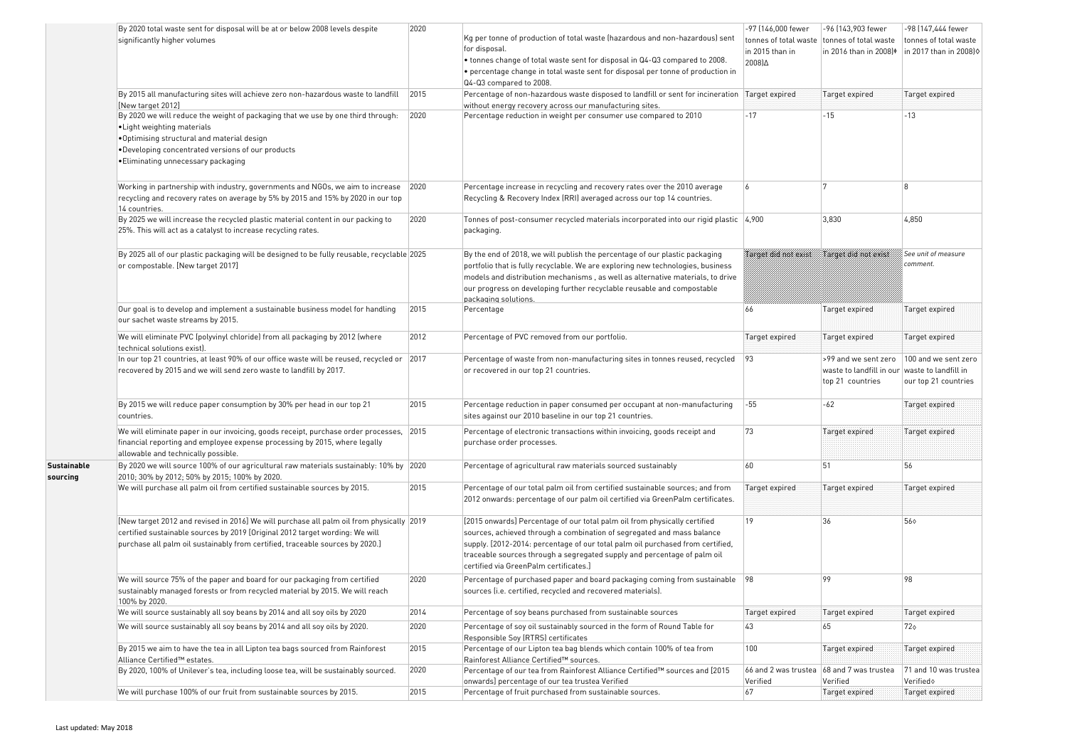|                                | By 2020 total waste sent for disposal will be at or below 2008 levels despite<br>significantly higher volumes                                                                                                                                              | 2020 | Kg per tonne of production of total waste (hazardous and non-hazardous) sent<br>for disposal.<br>• tonnes change of total waste sent for disposal in Q4-Q3 compared to 2008.<br>• percentage change in total waste sent for disposal per tonne of production in<br>Q4-Q3 compared to 2008.                                                                  | -97 (146,000 fewer<br>tonnes of total waste<br>in 2015 than in<br>2008) $\Delta$ | -96 (143,903 fewer<br>tonnes of total waste<br>in 2016 than in 2008) <sup>\$</sup> | -98 (147,444 fewer<br>tonnes of total waste<br>in 2017 than in 2008) $\diamond$ |
|--------------------------------|------------------------------------------------------------------------------------------------------------------------------------------------------------------------------------------------------------------------------------------------------------|------|-------------------------------------------------------------------------------------------------------------------------------------------------------------------------------------------------------------------------------------------------------------------------------------------------------------------------------------------------------------|----------------------------------------------------------------------------------|------------------------------------------------------------------------------------|---------------------------------------------------------------------------------|
|                                | By 2015 all manufacturing sites will achieve zero non-hazardous waste to landfill<br>[New target 2012]                                                                                                                                                     | 2015 | Percentage of non-hazardous waste disposed to landfill or sent for incineration Target expired<br>without energy recovery across our manufacturing sites.                                                                                                                                                                                                   |                                                                                  | Target expired                                                                     | Target expired                                                                  |
|                                | By 2020 we will reduce the weight of packaging that we use by one third through:<br>• Light weighting materials<br>.Optimising structural and material design<br>. Developing concentrated versions of our products<br>. Eliminating unnecessary packaging | 2020 | Percentage reduction in weight per consumer use compared to 2010                                                                                                                                                                                                                                                                                            | $-17$                                                                            | $-15$                                                                              | -13                                                                             |
|                                | Working in partnership with industry, governments and NGOs, we aim to increase<br>recycling and recovery rates on average by 5% by 2015 and 15% by 2020 in our top<br>14 countries.                                                                        | 2020 | Percentage increase in recycling and recovery rates over the 2010 average<br>Recycling & Recovery Index (RRI) averaged across our top 14 countries.                                                                                                                                                                                                         | 6                                                                                |                                                                                    | $\mathsf{R}$                                                                    |
|                                | By 2025 we will increase the recycled plastic material content in our packing to<br>25%. This will act as a catalyst to increase recycling rates.                                                                                                          | 2020 | Tonnes of post-consumer recycled materials incorporated into our rigid plastic 4,900<br>packaging.                                                                                                                                                                                                                                                          |                                                                                  | 3,830                                                                              | 4,850                                                                           |
|                                | By 2025 all of our plastic packaging will be designed to be fully reusable, recyclable 2025<br>or compostable. [New target 2017]                                                                                                                           |      | By the end of 2018, we will publish the percentage of our plastic packaging<br>portfolio that is fully recyclable. We are exploring new technologies, business<br>$ $ models and distribution mechanisms , as well as alternative materials, to drive<br>our progress on developing further recyclable reusable and compostable<br>packaging solutions.     | Target and not exist                                                             | Varget over mot exist                                                              | See unit of measure<br>comment.                                                 |
|                                | Our goal is to develop and implement a sustainable business model for handling<br>our sachet waste streams by 2015.                                                                                                                                        | 2015 | Percentage                                                                                                                                                                                                                                                                                                                                                  | 66                                                                               | Target expired                                                                     | Target expired                                                                  |
|                                | We will eliminate PVC (polyvinyl chloride) from all packaging by 2012 (where<br>technical solutions exist).                                                                                                                                                | 2012 | Percentage of PVC removed from our portfolio.                                                                                                                                                                                                                                                                                                               | Target expired                                                                   | Target expired                                                                     | Target expired                                                                  |
|                                | In our top 21 countries, at least 90% of our office waste will be reused, recycled or 2017<br>recovered by 2015 and we will send zero waste to landfill by 2017.                                                                                           |      | Percentage of waste from non-manufacturing sites in tonnes reused, recycled<br>or recovered in our top 21 countries.                                                                                                                                                                                                                                        | 93                                                                               | >99 and we sent zero<br>waste to landfill in our<br>top 21 countries               | 100 and we sent zero<br>waste to landfill in<br>our top 21 countries            |
|                                | By 2015 we will reduce paper consumption by 30% per head in our top 21<br>countries.                                                                                                                                                                       | 2015 | Percentage reduction in paper consumed per occupant at non-manufacturing<br>sites against our 2010 baseline in our top 21 countries.                                                                                                                                                                                                                        | $-55$                                                                            | -62                                                                                | Target expired                                                                  |
|                                | We will eliminate paper in our invoicing, goods receipt, purchase order processes, 2015<br>financial reporting and employee expense processing by 2015, where legally<br>allowable and technically possible.                                               |      | Percentage of electronic transactions within invoicing, goods receipt and<br>purchase order processes.                                                                                                                                                                                                                                                      | 73                                                                               | Target expired                                                                     | Target expired                                                                  |
| <b>Sustainable</b><br>sourcing | By 2020 we will source 100% of our agricultural raw materials sustainably: 10% by 2020<br>2010; 30% by 2012; 50% by 2015; 100% by 2020.                                                                                                                    |      | Percentage of agricultural raw materials sourced sustainably                                                                                                                                                                                                                                                                                                | 60                                                                               | 51                                                                                 | 56                                                                              |
|                                | We will purchase all palm oil from certified sustainable sources by 2015.                                                                                                                                                                                  | 2015 | Percentage of our total palm oil from certified sustainable sources; and from<br>2012 onwards: percentage of our palm oil certified via GreenPalm certificates.                                                                                                                                                                                             | Target expired                                                                   | Target expired                                                                     | Target expired                                                                  |
|                                | [New target 2012 and revised in 2016] We will purchase all palm oil from physically 2019<br>certified sustainable sources by 2019 [Original 2012 target wording: We will<br>purchase all palm oil sustainably from certified, traceable sources by 2020.]  |      | [2015 onwards] Percentage of our total palm oil from physically certified<br>sources, achieved through a combination of segregated and mass balance<br>supply. [2012-2014: percentage of our total palm oil purchased from certified,<br>traceable sources through a segregated supply and percentage of palm oil<br>certified via GreenPalm certificates.] | 19                                                                               | 36                                                                                 | 56 ♦                                                                            |
|                                | We will source 75% of the paper and board for our packaging from certified<br>sustainably managed forests or from recycled material by 2015. We will reach<br>100% by 2020.                                                                                | 2020 | Percentage of purchased paper and board packaging coming from sustainable $\vert$ 98<br>sources (i.e. certified, recycled and recovered materials).                                                                                                                                                                                                         |                                                                                  | 99                                                                                 | 98                                                                              |
|                                | We will source sustainably all soy beans by 2014 and all soy oils by 2020                                                                                                                                                                                  | 2014 | Percentage of soy beans purchased from sustainable sources                                                                                                                                                                                                                                                                                                  | Target expired                                                                   | Target expired                                                                     | Target expired                                                                  |
|                                | We will source sustainably all soy beans by 2014 and all soy oils by 2020.                                                                                                                                                                                 | 2020 | Percentage of soy oil sustainably sourced in the form of Round Table for<br>Responsible Soy (RTRS) certificates                                                                                                                                                                                                                                             | 43                                                                               | 65                                                                                 | 72♦                                                                             |
|                                | By 2015 we aim to have the tea in all Lipton tea bags sourced from Rainforest<br>Alliance Certified™ estates.                                                                                                                                              | 2015 | Percentage of our Lipton tea bag blends which contain 100% of tea from<br>Rainforest Alliance Certified™ sources.                                                                                                                                                                                                                                           | 100                                                                              | Target expired                                                                     | Target expired                                                                  |
|                                | By 2020, 100% of Unilever's tea, including loose tea, will be sustainably sourced.                                                                                                                                                                         | 2020 | Percentage of our tea from Rainforest Alliance Certified™ sources and [2015<br>onwards] percentage of our tea trustea Verified                                                                                                                                                                                                                              | Verified                                                                         | $ 66$ and 2 was trustea $ 68$ and 7 was trustea<br>Verified                        | 71 and 10 was trustea<br>Verified                                               |
|                                | We will purchase 100% of our fruit from sustainable sources by 2015.                                                                                                                                                                                       | 2015 | Percentage of fruit purchased from sustainable sources.                                                                                                                                                                                                                                                                                                     | 67                                                                               | Target expired                                                                     | Target expired                                                                  |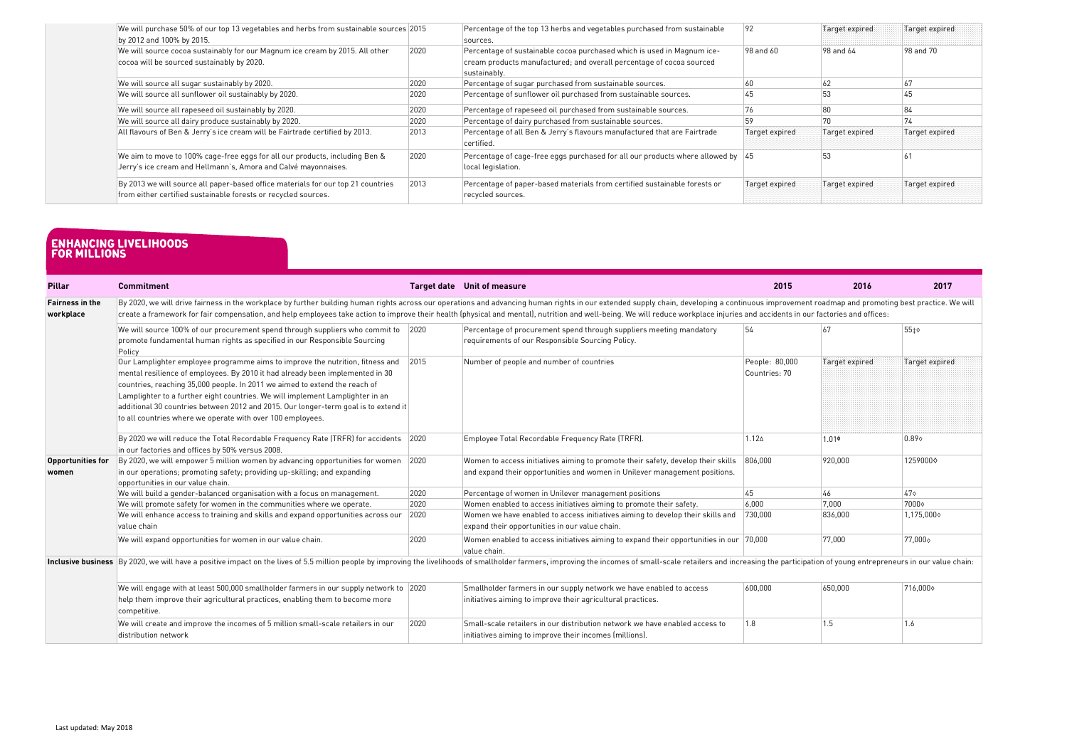| We will purchase 50% of our top 13 vegetables and herbs from sustainable sources 2015<br>by 2012 and 100% by 2015.                                 |      | Percentage of the top 13 herbs and vegetables purchased from sustainable<br>sources.                                                                           | 92             | Target expired | Target expired |
|----------------------------------------------------------------------------------------------------------------------------------------------------|------|----------------------------------------------------------------------------------------------------------------------------------------------------------------|----------------|----------------|----------------|
| We will source cocoa sustainably for our Magnum ice cream by 2015. All other<br>cocoa will be sourced sustainably by 2020.                         | 2020 | Percentage of sustainable cocoa purchased which is used in Magnum ice-<br>cream products manufactured; and overall percentage of cocoa sourced<br>sustainably. | $98$ and $60$  | 98 and 64      | 98 and 70      |
| We will source all sugar sustainably by 2020.                                                                                                      | 2020 | Percentage of sugar purchased from sustainable sources.                                                                                                        | 60             | 62             | 67             |
| We will source all sunflower oil sustainably by 2020.                                                                                              | 2020 | Percentage of sunflower oil purchased from sustainable sources.                                                                                                | 45             | 53             | 45             |
| We will source all rapeseed oil sustainably by 2020.                                                                                               | 2020 | Percentage of rapeseed oil purchased from sustainable sources.                                                                                                 | 76             | 80             | 84             |
| We will source all dairy produce sustainably by 2020.                                                                                              | 2020 | Percentage of dairy purchased from sustainable sources.                                                                                                        | 59             |                |                |
| All flavours of Ben & Jerry's ice cream will be Fairtrade certified by 2013.                                                                       | 2013 | Percentage of all Ben & Jerry's flavours manufactured that are Fairtrade<br>certified.                                                                         | Target expired | Target expired | Target expired |
| We aim to move to 100% cage-free eggs for all our products, including Ben &<br>Jerry's ice cream and Hellmann's, Amora and Calvé mayonnaises.      | 2020 | Percentage of cage-free eggs purchased for all our products where allowed by $ 45 $<br>local legislation.                                                      |                |                |                |
| By 2013 we will source all paper-based office materials for our top 21 countries<br>from either certified sustainable forests or recycled sources. | 2013 | Percentage of paper-based materials from certified sustainable forests or<br>recycled sources.                                                                 | Target expired | Target expired | Target expired |

| <b>Pillar</b>              | <b>Commitment</b>                                                                                                                                                                                                                                                                                                                                                                                                                                                                  |      | Target date Unit of measure                                                                                                                                    | 2015                            | 2016           | 2017              |  |  |  |
|----------------------------|------------------------------------------------------------------------------------------------------------------------------------------------------------------------------------------------------------------------------------------------------------------------------------------------------------------------------------------------------------------------------------------------------------------------------------------------------------------------------------|------|----------------------------------------------------------------------------------------------------------------------------------------------------------------|---------------------------------|----------------|-------------------|--|--|--|
| <b>Fairness in the</b>     | By 2020, we will drive fairness in the workplace by further building human rights across our operations and advancing human rights in our extended supply chain, developing a continuous improvement roadmap and promoting bes                                                                                                                                                                                                                                                     |      |                                                                                                                                                                |                                 |                |                   |  |  |  |
| workplace                  | create a framework for fair compensation, and help employees take action to improve their health (physical and mental), nutrition and well-being. We will reduce workplace injuries and accidents in our factories and offices                                                                                                                                                                                                                                                     |      |                                                                                                                                                                |                                 |                |                   |  |  |  |
|                            | We will source 100% of our procurement spend through suppliers who commit to 2020<br>$\vert$ promote fundamental human rights as specified in our Responsible Sourcing<br>Policy                                                                                                                                                                                                                                                                                                   |      | Percentage of procurement spend through suppliers meeting mandatory<br>requirements of our Responsible Sourcing Policy.                                        | 54                              | 67             | 55±               |  |  |  |
|                            | Our Lamplighter employee programme aims to improve the nutrition, fitness and<br>mental resilience of employees. By 2010 it had already been implemented in 30<br>countries, reaching 35,000 people. In 2011 we aimed to extend the reach of<br>Lamplighter to a further eight countries. We will implement Lamplighter in an<br>additional 30 countries between 2012 and 2015. Our longer-term goal is to extend it<br>to all countries where we operate with over 100 employees. | 2015 | Number of people and number of countries                                                                                                                       | People: 80,000<br>Countries: 70 | Target expired | Target expired    |  |  |  |
|                            | By 2020 we will reduce the Total Recordable Frequency Rate (TRFR) for accidents 2020<br>in our factories and offices by 50% versus 2008.                                                                                                                                                                                                                                                                                                                                           |      | Employee Total Recordable Frequency Rate (TRFR).                                                                                                               | $1.12 \triangle$                | $1.01\Phi$     | 0.89 <sub>o</sub> |  |  |  |
| Opportunities for<br>women | By 2020, we will empower 5 million women by advancing opportunities for women<br>in our operations; promoting safety; providing up-skilling; and expanding<br>opportunities in our value chain.                                                                                                                                                                                                                                                                                    | 2020 | Women to access initiatives aiming to promote their safety, develop their skills<br>and expand their opportunities and women in Unilever management positions. | 806.000                         | 920.000        | 12590000          |  |  |  |
|                            | We will build a gender-balanced organisation with a focus on management.                                                                                                                                                                                                                                                                                                                                                                                                           | 2020 | Percentage of women in Unilever management positions                                                                                                           | 45                              | 46             | $47\diamond$      |  |  |  |
|                            | We will promote safety for women in the communities where we operate.                                                                                                                                                                                                                                                                                                                                                                                                              | 2020 | Women enabled to access initiatives aiming to promote their safety.                                                                                            | 6.000                           | 7.000          | 7000              |  |  |  |
|                            | We will enhance access to training and skills and expand opportunities across our<br>Ivalue chain                                                                                                                                                                                                                                                                                                                                                                                  | 2020 | Women we have enabled to access initiatives aiming to develop their skills and<br>expand their opportunities in our value chain.                               | 730,000                         | 836,000        | 1,175,000         |  |  |  |
|                            | We will expand opportunities for women in our value chain.                                                                                                                                                                                                                                                                                                                                                                                                                         | 2020 | Women enabled to access initiatives aiming to expand their opportunities in our $ 70{,}000 $<br>value chain.                                                   |                                 | 77,000         | 77,000            |  |  |  |
|                            | Inclusive business By 2020, we will have a positive impact on the lives of 5.5 million people by improving the livelihoods of smallholder farmers, improving the incomes of small-scale retailers and increasing the participa                                                                                                                                                                                                                                                     |      |                                                                                                                                                                |                                 |                |                   |  |  |  |
|                            | We will engage with at least 500,000 smallholder farmers in our supply network to 2020<br>help them improve their agricultural practices, enabling them to become more<br>competitive.                                                                                                                                                                                                                                                                                             |      | Smallholder farmers in our supply network we have enabled to access<br>initiatives aiming to improve their agricultural practices.                             | 600,000                         | 650,000        | 716,000           |  |  |  |
|                            | We will create and improve the incomes of 5 million small-scale retailers in our<br>distribution network                                                                                                                                                                                                                                                                                                                                                                           | 2020 | Small-scale retailers in our distribution network we have enabled access to<br>initiatives aiming to improve their incomes (millions).                         | 1.8                             | 1.5            | 1.6               |  |  |  |

### **enhancing livelihoods for millions**